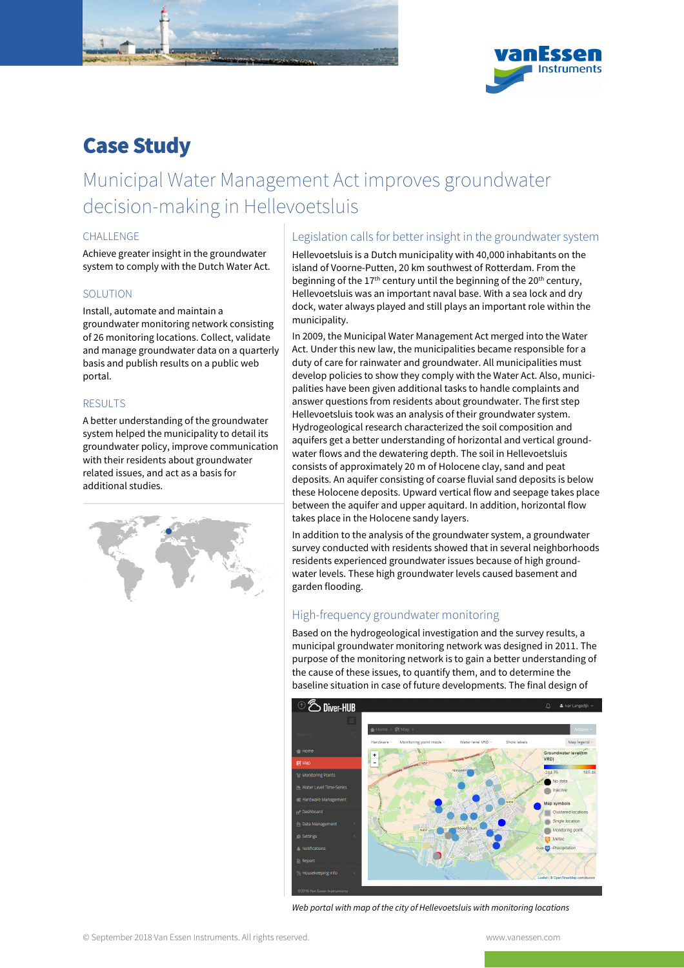

# Case Study

# Municipal Water Management Act improves groundwater decision-making in Hellevoetsluis

#### CHALL ENGE

Achieve greater insight in the groundwater system to comply with the Dutch Water Act.

#### **SOLUTION**

Install, automate and maintain a groundwater monitoring network consisting of 26 monitoring locations. Collect, validate and manage groundwater data on a quarterly basis and publish results on a public web portal.

### RESULTS

A better understanding of the groundwater system helped the municipality to detail its groundwater policy, improve communication with their residents about groundwater related issues, and act as a basis for additional studies.



### Legislation calls for better insight in the groundwater system

Hellevoetsluis is a Dutch municipality with 40,000 inhabitants on the island of Voorne-Putten, 20 km southwest of Rotterdam. From the beginning of the 17<sup>th</sup> century until the beginning of the 20<sup>th</sup> century, Hellevoetsluis was an important naval base. With a sea lock and dry dock, water always played and still plays an important role within the municipality.

In 2009, the Municipal Water Management Act merged into the Water Act. Under this new law, the municipalities became responsible for a duty of care for rainwater and groundwater. All municipalities must develop policies to show they comply with the Water Act. Also, municipalities have been given additional tasks to handle complaints and answer questions from residents about groundwater. The first step Hellevoetsluis took was an analysis of their groundwater system. Hydrogeological research characterized the soil composition and aquifers get a better understanding of horizontal and vertical groundwater flows and the dewatering depth. The soil in Hellevoetsluis consists of approximately 20 m of Holocene clay, sand and peat deposits. An aquifer consisting of coarse fluvial sand deposits is below these Holocene deposits. Upward vertical flow and seepage takes place between the aquifer and upper aquitard. In addition, horizontal flow takes place in the Holocene sandy layers.

In addition to the analysis of the groundwater system, a groundwater survey conducted with residents showed that in several neighborhoods residents experienced groundwater issues because of high groundwater levels. These high groundwater levels caused basement and garden flooding.

## High-frequency groundwater monitoring

Based on the hydrogeological investigation and the survey results, a municipal groundwater monitoring network was designed in 2011. The purpose of the monitoring network is to gain a better understanding of the cause of these issues, to quantify them, and to determine the baseline situation in case of future developments. The final design of



Web portal with map of the city of Hellevoetsluis with monitoring locations